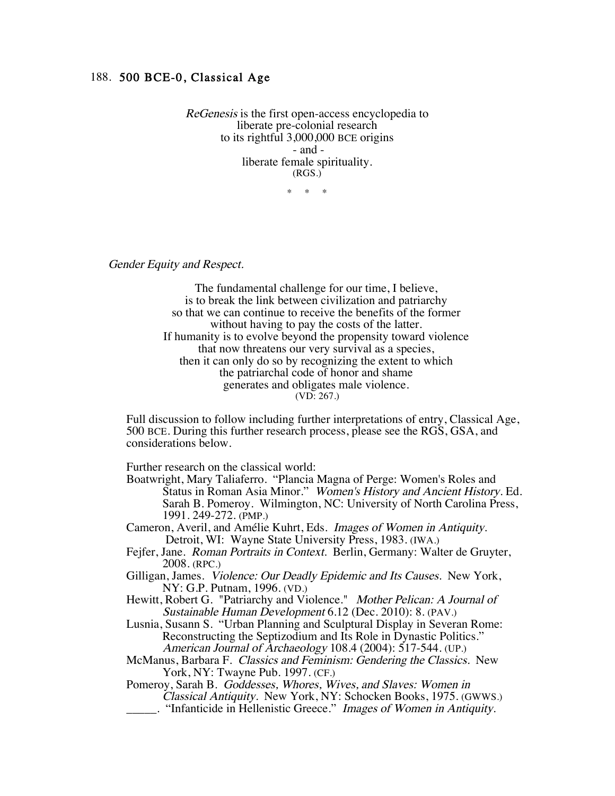## 188. 500 BCE-0, Classical Age

ReGenesis is the first open-access encyclopedia to liberate pre-colonial research to its rightful 3,000,000 BCE origins - and liberate female spirituality. (RGS.)

\* \* \*

Gender Equity and Respect.

 The fundamental challenge for our time, I believe, is to break the link between civilization and patriarchy so that we can continue to receive the benefits of the former without having to pay the costs of the latter. If humanity is to evolve beyond the propensity toward violence that now threatens our very survival as a species, then it can only do so by recognizing the extent to which the patriarchal code of honor and shame generates and obligates male violence. (VD: 267.)

Full discussion to follow including further interpretations of entry, Classical Age, 500 BCE. During this further research process, please see the RGS, GSA, and considerations below.

Further research on the classical world:

- Boatwright, Mary Taliaferro. "Plancia Magna of Perge: Women's Roles and Status in Roman Asia Minor." Women's History and Ancient History. Ed. Sarah B. Pomeroy. Wilmington, NC: University of North Carolina Press, 1991. 249-272. (PMP.)
- Cameron, Averil, and Amélie Kuhrt, Eds. Images of Women in Antiquity. Detroit, WI: Wayne State University Press, 1983. (IWA.)
- Fejfer, Jane. Roman Portraits in Context. Berlin, Germany: Walter de Gruyter, 2008. (RPC.)
- Gilligan, James. Violence: Our Deadly Epidemic and Its Causes. New York, NY: G.P. Putnam, 1996. (VD.)
- Hewitt, Robert G. "Patriarchy and Violence." Mother Pelican: A Journal of Sustainable Human Development 6.12 (Dec. 2010): 8. (PAV.)
- Lusnia, Susann S. "Urban Planning and Sculptural Display in Severan Rome: Reconstructing the Septizodium and Its Role in Dynastic Politics." American Journal of Archaeology 108.4 (2004): 517-544. (UP.)
- McManus, Barbara F. Classics and Feminism: Gendering the Classics. New York, NY: Twayne Pub. 1997. (CF.)

Pomeroy, Sarah B. Goddesses, Whores, Wives, and Slaves: Women in Classical Antiquity. New York, NY: Schocken Books, 1975. (GWWS.) \_\_\_\_\_. "Infanticide in Hellenistic Greece." Images of Women in Antiquity.